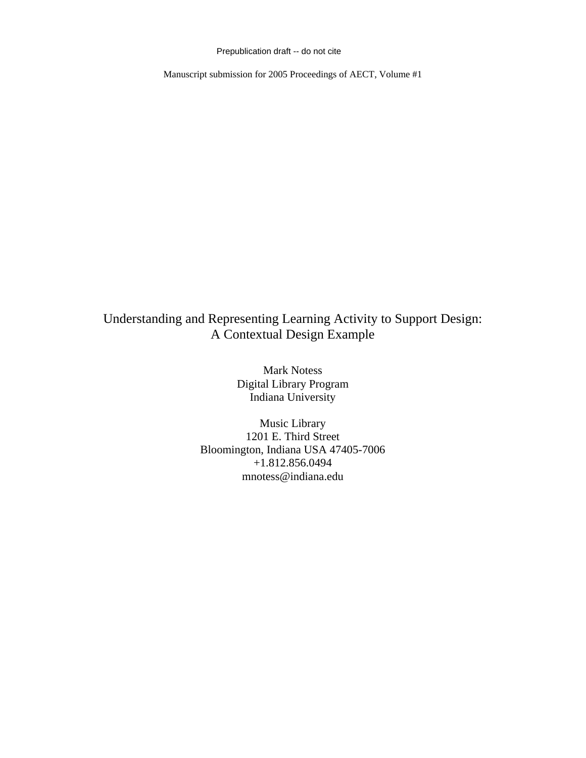Prepublication draft -- do not cite

Manuscript submission for 2005 Proceedings of AECT, Volume #1

# Understanding and Representing Learning Activity to Support Design: A Contextual Design Example

Mark Notess Digital Library Program Indiana University

Music Library 1201 E. Third Street Bloomington, Indiana USA 47405-7006 +1.812.856.0494 mnotess@indiana.edu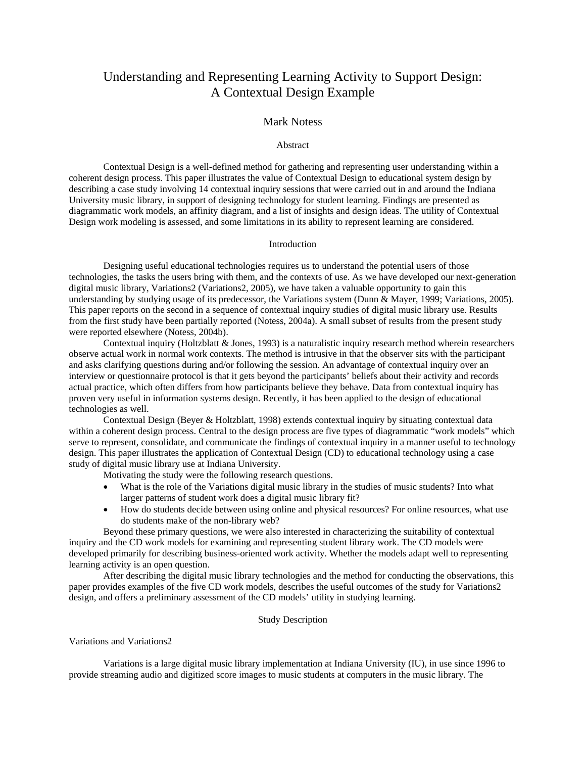## Understanding and Representing Learning Activity to Support Design: A Contextual Design Example

## Mark Notess

#### Abstract

Contextual Design is a well-defined method for gathering and representing user understanding within a coherent design process. This paper illustrates the value of Contextual Design to educational system design by describing a case study involving 14 contextual inquiry sessions that were carried out in and around the Indiana University music library, in support of designing technology for student learning. Findings are presented as diagrammatic work models, an affinity diagram, and a list of insights and design ideas. The utility of Contextual Design work modeling is assessed, and some limitations in its ability to represent learning are considered.

## Introduction

Designing useful educational technologies requires us to understand the potential users of those technologies, the tasks the users bring with them, and the contexts of use. As we have developed our next-generation digital music library, Variations2 (Variations2, 2005), we have taken a valuable opportunity to gain this understanding by studying usage of its predecessor, the Variations system (Dunn & Mayer, 1999; Variations, 2005). This paper reports on the second in a sequence of contextual inquiry studies of digital music library use. Results from the first study have been partially reported (Notess, 2004a). A small subset of results from the present study were reported elsewhere (Notess, 2004b).

Contextual inquiry (Holtzblatt & Jones, 1993) is a naturalistic inquiry research method wherein researchers observe actual work in normal work contexts. The method is intrusive in that the observer sits with the participant and asks clarifying questions during and/or following the session. An advantage of contextual inquiry over an interview or questionnaire protocol is that it gets beyond the participants' beliefs about their activity and records actual practice, which often differs from how participants believe they behave. Data from contextual inquiry has proven very useful in information systems design. Recently, it has been applied to the design of educational technologies as well.

Contextual Design (Beyer & Holtzblatt, 1998) extends contextual inquiry by situating contextual data within a coherent design process. Central to the design process are five types of diagrammatic "work models" which serve to represent, consolidate, and communicate the findings of contextual inquiry in a manner useful to technology design. This paper illustrates the application of Contextual Design (CD) to educational technology using a case study of digital music library use at Indiana University.

Motivating the study were the following research questions.

- What is the role of the Variations digital music library in the studies of music students? Into what larger patterns of student work does a digital music library fit?
- How do students decide between using online and physical resources? For online resources, what use do students make of the non-library web?

Beyond these primary questions, we were also interested in characterizing the suitability of contextual inquiry and the CD work models for examining and representing student library work. The CD models were developed primarily for describing business-oriented work activity. Whether the models adapt well to representing learning activity is an open question.

After describing the digital music library technologies and the method for conducting the observations, this paper provides examples of the five CD work models, describes the useful outcomes of the study for Variations2 design, and offers a preliminary assessment of the CD models' utility in studying learning.

#### Study Description

Variations and Variations2

Variations is a large digital music library implementation at Indiana University (IU), in use since 1996 to provide streaming audio and digitized score images to music students at computers in the music library. The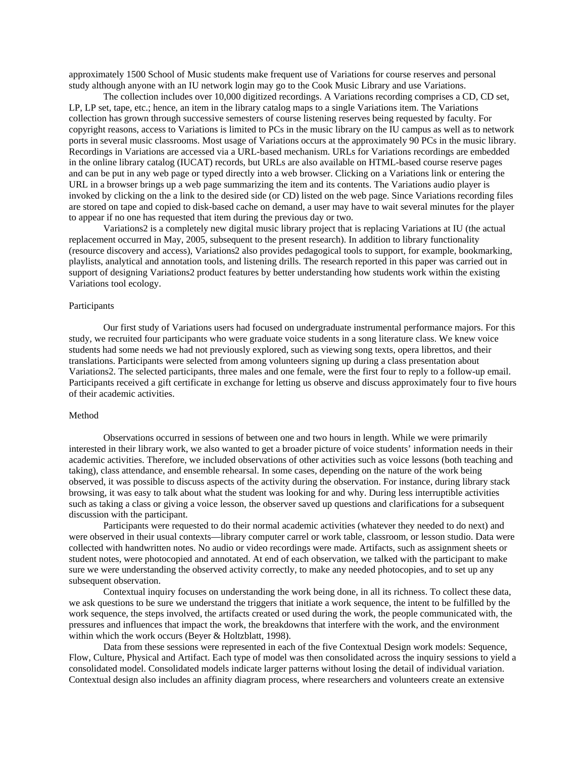approximately 1500 School of Music students make frequent use of Variations for course reserves and personal study although anyone with an IU network login may go to the Cook Music Library and use Variations.

The collection includes over 10,000 digitized recordings. A Variations recording comprises a CD, CD set, LP, LP set, tape, etc.; hence, an item in the library catalog maps to a single Variations item. The Variations collection has grown through successive semesters of course listening reserves being requested by faculty. For copyright reasons, access to Variations is limited to PCs in the music library on the IU campus as well as to network ports in several music classrooms. Most usage of Variations occurs at the approximately 90 PCs in the music library. Recordings in Variations are accessed via a URL-based mechanism. URLs for Variations recordings are embedded in the online library catalog (IUCAT) records, but URLs are also available on HTML-based course reserve pages and can be put in any web page or typed directly into a web browser. Clicking on a Variations link or entering the URL in a browser brings up a web page summarizing the item and its contents. The Variations audio player is invoked by clicking on the a link to the desired side (or CD) listed on the web page. Since Variations recording files are stored on tape and copied to disk-based cache on demand, a user may have to wait several minutes for the player to appear if no one has requested that item during the previous day or two.

Variations2 is a completely new digital music library project that is replacing Variations at IU (the actual replacement occurred in May, 2005, subsequent to the present research). In addition to library functionality (resource discovery and access), Variations2 also provides pedagogical tools to support, for example, bookmarking, playlists, analytical and annotation tools, and listening drills. The research reported in this paper was carried out in support of designing Variations2 product features by better understanding how students work within the existing Variations tool ecology.

## Participants

Our first study of Variations users had focused on undergraduate instrumental performance majors. For this study, we recruited four participants who were graduate voice students in a song literature class. We knew voice students had some needs we had not previously explored, such as viewing song texts, opera librettos, and their translations. Participants were selected from among volunteers signing up during a class presentation about Variations2. The selected participants, three males and one female, were the first four to reply to a follow-up email. Participants received a gift certificate in exchange for letting us observe and discuss approximately four to five hours of their academic activities.

#### Method

Observations occurred in sessions of between one and two hours in length. While we were primarily interested in their library work, we also wanted to get a broader picture of voice students' information needs in their academic activities. Therefore, we included observations of other activities such as voice lessons (both teaching and taking), class attendance, and ensemble rehearsal. In some cases, depending on the nature of the work being observed, it was possible to discuss aspects of the activity during the observation. For instance, during library stack browsing, it was easy to talk about what the student was looking for and why. During less interruptible activities such as taking a class or giving a voice lesson, the observer saved up questions and clarifications for a subsequent discussion with the participant.

Participants were requested to do their normal academic activities (whatever they needed to do next) and were observed in their usual contexts—library computer carrel or work table, classroom, or lesson studio. Data were collected with handwritten notes. No audio or video recordings were made. Artifacts, such as assignment sheets or student notes, were photocopied and annotated. At end of each observation, we talked with the participant to make sure we were understanding the observed activity correctly, to make any needed photocopies, and to set up any subsequent observation.

Contextual inquiry focuses on understanding the work being done, in all its richness. To collect these data, we ask questions to be sure we understand the triggers that initiate a work sequence, the intent to be fulfilled by the work sequence, the steps involved, the artifacts created or used during the work, the people communicated with, the pressures and influences that impact the work, the breakdowns that interfere with the work, and the environment within which the work occurs (Beyer & Holtzblatt, 1998).

Data from these sessions were represented in each of the five Contextual Design work models: Sequence, Flow, Culture, Physical and Artifact. Each type of model was then consolidated across the inquiry sessions to yield a consolidated model. Consolidated models indicate larger patterns without losing the detail of individual variation. Contextual design also includes an affinity diagram process, where researchers and volunteers create an extensive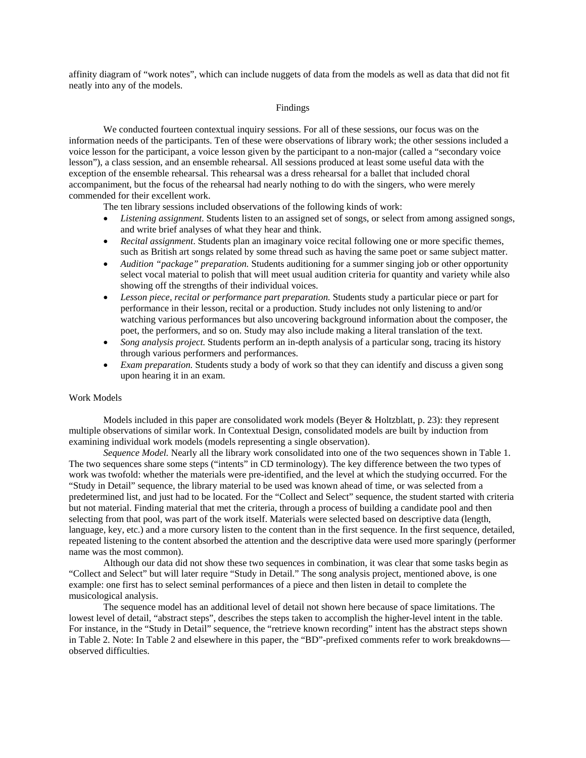affinity diagram of "work notes", which can include nuggets of data from the models as well as data that did not fit neatly into any of the models.

## Findings

We conducted fourteen contextual inquiry sessions. For all of these sessions, our focus was on the information needs of the participants. Ten of these were observations of library work; the other sessions included a voice lesson for the participant, a voice lesson given by the participant to a non-major (called a "secondary voice lesson"), a class session, and an ensemble rehearsal. All sessions produced at least some useful data with the exception of the ensemble rehearsal. This rehearsal was a dress rehearsal for a ballet that included choral accompaniment, but the focus of the rehearsal had nearly nothing to do with the singers, who were merely commended for their excellent work.

The ten library sessions included observations of the following kinds of work:

- *Listening assignment*. Students listen to an assigned set of songs, or select from among assigned songs, and write brief analyses of what they hear and think.
- *Recital assignment*. Students plan an imaginary voice recital following one or more specific themes, such as British art songs related by some thread such as having the same poet or same subject matter.
- *Audition "package" preparation.* Students auditioning for a summer singing job or other opportunity select vocal material to polish that will meet usual audition criteria for quantity and variety while also showing off the strengths of their individual voices.
- *Lesson piece, recital or performance part preparation.* Students study a particular piece or part for performance in their lesson, recital or a production. Study includes not only listening to and/or watching various performances but also uncovering background information about the composer, the poet, the performers, and so on. Study may also include making a literal translation of the text.
- *Song analysis project.* Students perform an in-depth analysis of a particular song, tracing its history through various performers and performances.
- *Exam preparation.* Students study a body of work so that they can identify and discuss a given song upon hearing it in an exam.

#### Work Models

Models included in this paper are consolidated work models (Beyer & Holtzblatt, p. 23): they represent multiple observations of similar work. In Contextual Design, consolidated models are built by induction from examining individual work models (models representing a single observation).

*Sequence Model.* Nearly all the library work consolidated into one of the two sequences shown in Table 1. The two sequences share some steps ("intents" in CD terminology). The key difference between the two types of work was twofold: whether the materials were pre-identified, and the level at which the studying occurred. For the "Study in Detail" sequence, the library material to be used was known ahead of time, or was selected from a predetermined list, and just had to be located. For the "Collect and Select" sequence, the student started with criteria but not material. Finding material that met the criteria, through a process of building a candidate pool and then selecting from that pool, was part of the work itself. Materials were selected based on descriptive data (length, language, key, etc.) and a more cursory listen to the content than in the first sequence. In the first sequence, detailed, repeated listening to the content absorbed the attention and the descriptive data were used more sparingly (performer name was the most common).

Although our data did not show these two sequences in combination, it was clear that some tasks begin as "Collect and Select" but will later require "Study in Detail." The song analysis project, mentioned above, is one example: one first has to select seminal performances of a piece and then listen in detail to complete the musicological analysis.

The sequence model has an additional level of detail not shown here because of space limitations. The lowest level of detail, "abstract steps", describes the steps taken to accomplish the higher-level intent in the table. For instance, in the "Study in Detail" sequence, the "retrieve known recording" intent has the abstract steps shown in Table 2. Note: In Table 2 and elsewhere in this paper, the "BD"-prefixed comments refer to work breakdowns observed difficulties.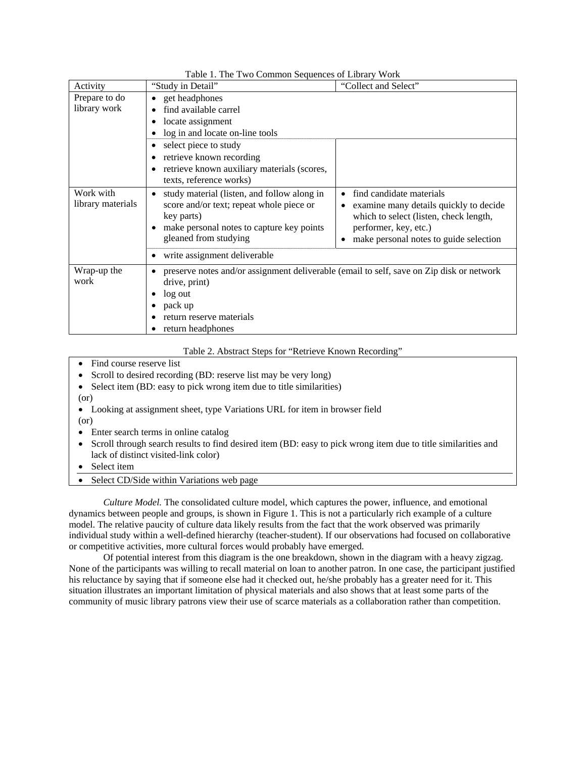| Activity                       | radio 1. The Two Common Sequences of Elbrary Work<br>"Study in Detail"                                                                                                           | "Collect and Select"                                                                                                                                                            |  |
|--------------------------------|----------------------------------------------------------------------------------------------------------------------------------------------------------------------------------|---------------------------------------------------------------------------------------------------------------------------------------------------------------------------------|--|
| Prepare to do<br>library work  | • get headphones<br>find available carrel<br>locate assignment<br>log in and locate on-line tools                                                                                |                                                                                                                                                                                 |  |
|                                | select piece to study<br>retrieve known recording<br>retrieve known auxiliary materials (scores,<br>texts, reference works)                                                      |                                                                                                                                                                                 |  |
| Work with<br>library materials | study material (listen, and follow along in<br>score and/or text; repeat whole piece or<br>key parts)<br>make personal notes to capture key points<br>gleaned from studying      | find candidate materials<br>examine many details quickly to decide<br>which to select (listen, check length,<br>performer, key, etc.)<br>make personal notes to guide selection |  |
|                                | write assignment deliverable                                                                                                                                                     |                                                                                                                                                                                 |  |
| Wrap-up the<br>work            | preserve notes and/or assignment deliverable (email to self, save on Zip disk or network<br>drive, print)<br>log out<br>pack up<br>return reserve materials<br>return headphones |                                                                                                                                                                                 |  |

Table 1. The Two Common Sequences of Library Work

Table 2. Abstract Steps for "Retrieve Known Recording"

Find course reserve list

• Scroll to desired recording (BD: reserve list may be very long)

- Select item (BD: easy to pick wrong item due to title similarities)
- (or)
- Looking at assignment sheet, type Variations URL for item in browser field
- (or)
- Enter search terms in online catalog
- Scroll through search results to find desired item (BD: easy to pick wrong item due to title similarities and lack of distinct visited-link color)
- Select item
- Select CD/Side within Variations web page

*Culture Model.* The consolidated culture model, which captures the power, influence, and emotional dynamics between people and groups, is shown in Figure 1. This is not a particularly rich example of a culture model. The relative paucity of culture data likely results from the fact that the work observed was primarily individual study within a well-defined hierarchy (teacher-student). If our observations had focused on collaborative or competitive activities, more cultural forces would probably have emerged.

Of potential interest from this diagram is the one breakdown, shown in the diagram with a heavy zigzag. None of the participants was willing to recall material on loan to another patron. In one case, the participant justified his reluctance by saying that if someone else had it checked out, he/she probably has a greater need for it. This situation illustrates an important limitation of physical materials and also shows that at least some parts of the community of music library patrons view their use of scarce materials as a collaboration rather than competition.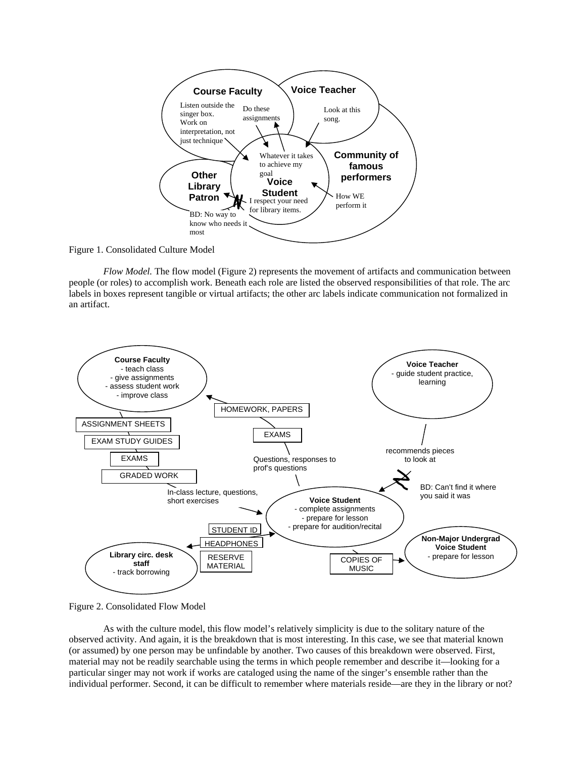

Figure 1. Consolidated Culture Model

*Flow Model.* The flow model (Figure 2) represents the movement of artifacts and communication between people (or roles) to accomplish work. Beneath each role are listed the observed responsibilities of that role. The arc labels in boxes represent tangible or virtual artifacts; the other arc labels indicate communication not formalized in an artifact.



Figure 2. Consolidated Flow Model

As with the culture model, this flow model's relatively simplicity is due to the solitary nature of the observed activity. And again, it is the breakdown that is most interesting. In this case, we see that material known (or assumed) by one person may be unfindable by another. Two causes of this breakdown were observed. First, material may not be readily searchable using the terms in which people remember and describe it—looking for a particular singer may not work if works are cataloged using the name of the singer's ensemble rather than the individual performer. Second, it can be difficult to remember where materials reside—are they in the library or not?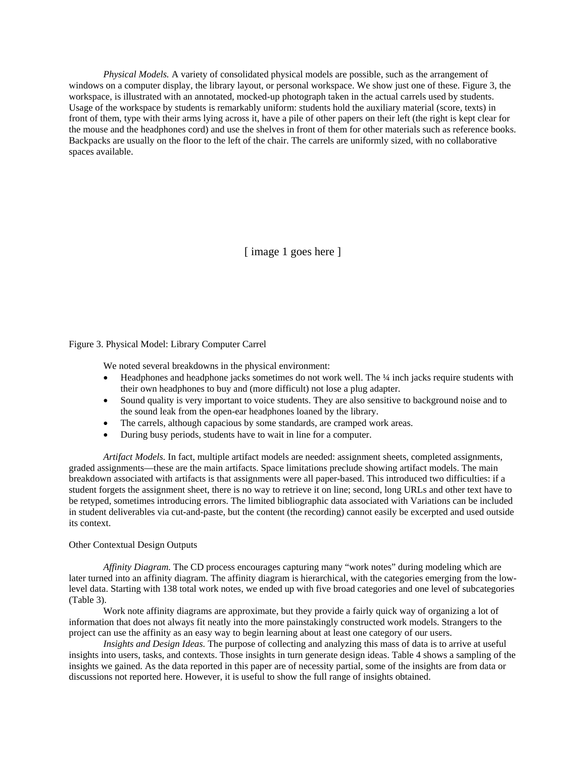*Physical Models.* A variety of consolidated physical models are possible, such as the arrangement of windows on a computer display, the library layout, or personal workspace. We show just one of these. Figure 3, the workspace, is illustrated with an annotated, mocked-up photograph taken in the actual carrels used by students. Usage of the workspace by students is remarkably uniform: students hold the auxiliary material (score, texts) in front of them, type with their arms lying across it, have a pile of other papers on their left (the right is kept clear for the mouse and the headphones cord) and use the shelves in front of them for other materials such as reference books. Backpacks are usually on the floor to the left of the chair. The carrels are uniformly sized, with no collaborative spaces available.

[ image 1 goes here ]

### Figure 3. Physical Model: Library Computer Carrel

We noted several breakdowns in the physical environment:

- Headphones and headphone jacks sometimes do not work well. The 1/4 inch jacks require students with their own headphones to buy and (more difficult) not lose a plug adapter.
- Sound quality is very important to voice students. They are also sensitive to background noise and to the sound leak from the open-ear headphones loaned by the library.
- The carrels, although capacious by some standards, are cramped work areas.
- During busy periods, students have to wait in line for a computer.

*Artifact Models.* In fact, multiple artifact models are needed: assignment sheets, completed assignments, graded assignments—these are the main artifacts. Space limitations preclude showing artifact models. The main breakdown associated with artifacts is that assignments were all paper-based. This introduced two difficulties: if a student forgets the assignment sheet, there is no way to retrieve it on line; second, long URLs and other text have to be retyped, sometimes introducing errors. The limited bibliographic data associated with Variations can be included in student deliverables via cut-and-paste, but the content (the recording) cannot easily be excerpted and used outside its context.

#### Other Contextual Design Outputs

*Affinity Diagram.* The CD process encourages capturing many "work notes" during modeling which are later turned into an affinity diagram. The affinity diagram is hierarchical, with the categories emerging from the lowlevel data. Starting with 138 total work notes, we ended up with five broad categories and one level of subcategories (Table 3).

Work note affinity diagrams are approximate, but they provide a fairly quick way of organizing a lot of information that does not always fit neatly into the more painstakingly constructed work models. Strangers to the project can use the affinity as an easy way to begin learning about at least one category of our users.

*Insights and Design Ideas.* The purpose of collecting and analyzing this mass of data is to arrive at useful insights into users, tasks, and contexts. Those insights in turn generate design ideas. Table 4 shows a sampling of the insights we gained. As the data reported in this paper are of necessity partial, some of the insights are from data or discussions not reported here. However, it is useful to show the full range of insights obtained.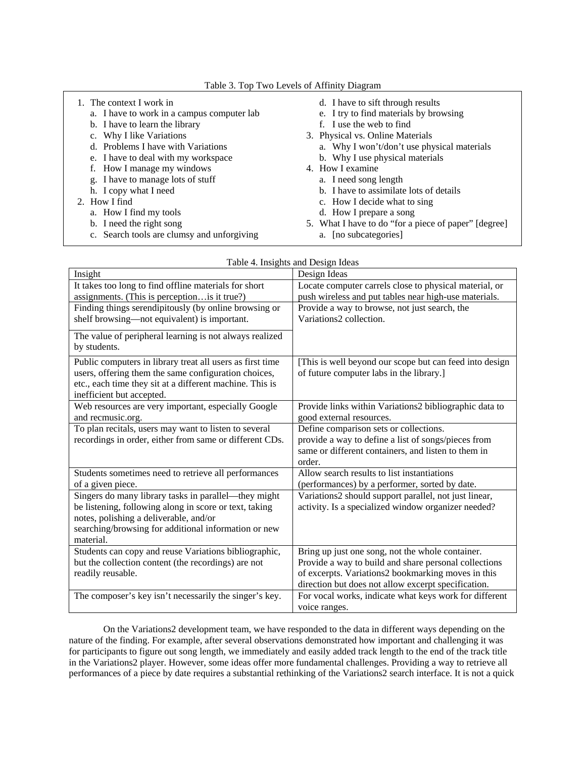Table 3. Top Two Levels of Affinity Diagram

| 1. The context I work in                   | d. I have to sift through results                    |
|--------------------------------------------|------------------------------------------------------|
| a. I have to work in a campus computer lab | e. I try to find materials by browsing               |
| b. I have to learn the library             | f. I use the web to find                             |
| c. Why I like Variations                   | 3. Physical vs. Online Materials                     |
| d. Problems I have with Variations         | a. Why I won't/don't use physical materials          |
| e. I have to deal with my workspace        | b. Why I use physical materials                      |
| f. How I manage my windows                 | 4. How I examine                                     |
| g. I have to manage lots of stuff          | a. I need song length                                |
| h. I copy what I need                      | b. I have to assimilate lots of details              |
| 2. How I find                              | c. How I decide what to sing                         |
| a. How I find my tools                     | d. How I prepare a song                              |
| b. I need the right song                   | 5. What I have to do "for a piece of paper" [degree] |
| c. Search tools are clumsy and unforgiving | a. [no subcategories]                                |

| ıg | a. [no sub |  |
|----|------------|--|
|    |            |  |

| Table 4. Insights and Design Ideas                        |                                                         |  |  |  |
|-----------------------------------------------------------|---------------------------------------------------------|--|--|--|
| Insight                                                   | Design Ideas                                            |  |  |  |
| It takes too long to find offline materials for short     | Locate computer carrels close to physical material, or  |  |  |  |
| assignments. (This is perceptionis it true?)              | push wireless and put tables near high-use materials.   |  |  |  |
| Finding things serendipitously (by online browsing or     | Provide a way to browse, not just search, the           |  |  |  |
| shelf browsing-not equivalent) is important.              | Variations2 collection.                                 |  |  |  |
| The value of peripheral learning is not always realized   |                                                         |  |  |  |
| by students.                                              |                                                         |  |  |  |
|                                                           |                                                         |  |  |  |
| Public computers in library treat all users as first time | [This is well beyond our scope but can feed into design |  |  |  |
| users, offering them the same configuration choices,      | of future computer labs in the library.]                |  |  |  |
| etc., each time they sit at a different machine. This is  |                                                         |  |  |  |
| inefficient but accepted.                                 |                                                         |  |  |  |
| Web resources are very important, especially Google       | Provide links within Variations2 bibliographic data to  |  |  |  |
| and recmusic.org.                                         | good external resources.                                |  |  |  |
| To plan recitals, users may want to listen to several     | Define comparison sets or collections.                  |  |  |  |
| recordings in order, either from same or different CDs.   | provide a way to define a list of songs/pieces from     |  |  |  |
|                                                           | same or different containers, and listen to them in     |  |  |  |
|                                                           | order.                                                  |  |  |  |
| Students sometimes need to retrieve all performances      | Allow search results to list instantiations             |  |  |  |
| of a given piece.                                         | (performances) by a performer, sorted by date.          |  |  |  |
| Singers do many library tasks in parallel—they might      | Variations2 should support parallel, not just linear,   |  |  |  |
| be listening, following along in score or text, taking    | activity. Is a specialized window organizer needed?     |  |  |  |
| notes, polishing a deliverable, and/or                    |                                                         |  |  |  |
| searching/browsing for additional information or new      |                                                         |  |  |  |
| material.                                                 |                                                         |  |  |  |
| Students can copy and reuse Variations bibliographic,     | Bring up just one song, not the whole container.        |  |  |  |
| but the collection content (the recordings) are not       | Provide a way to build and share personal collections   |  |  |  |
| readily reusable.                                         | of excerpts. Variations2 bookmarking moves in this      |  |  |  |
|                                                           | direction but does not allow excerpt specification.     |  |  |  |
| The composer's key isn't necessarily the singer's key.    | For vocal works, indicate what keys work for different  |  |  |  |
|                                                           | voice ranges.                                           |  |  |  |

On the Variations2 development team, we have responded to the data in different ways depending on the nature of the finding. For example, after several observations demonstrated how important and challenging it was for participants to figure out song length, we immediately and easily added track length to the end of the track title in the Variations2 player. However, some ideas offer more fundamental challenges. Providing a way to retrieve all performances of a piece by date requires a substantial rethinking of the Variations2 search interface. It is not a quick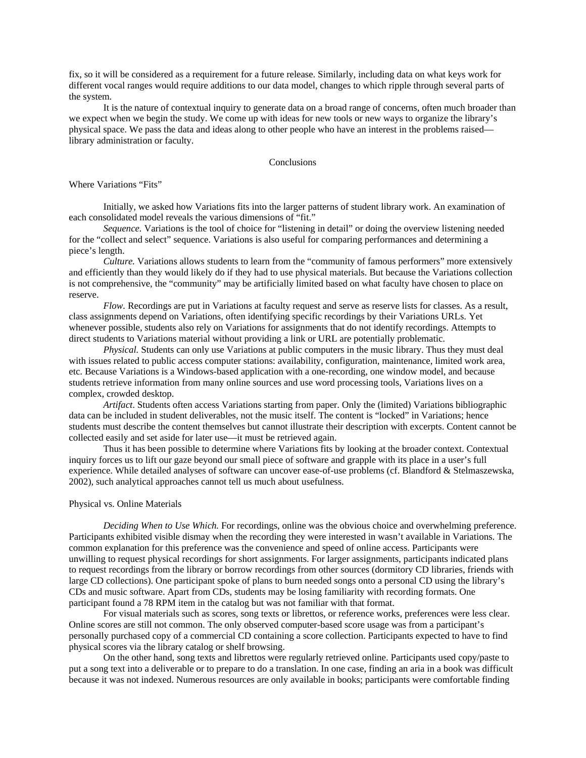fix, so it will be considered as a requirement for a future release. Similarly, including data on what keys work for different vocal ranges would require additions to our data model, changes to which ripple through several parts of the system.

It is the nature of contextual inquiry to generate data on a broad range of concerns, often much broader than we expect when we begin the study. We come up with ideas for new tools or new ways to organize the library's physical space. We pass the data and ideas along to other people who have an interest in the problems raised library administration or faculty.

#### **Conclusions**

Where Variations "Fits"

Initially, we asked how Variations fits into the larger patterns of student library work. An examination of each consolidated model reveals the various dimensions of "fit."

*Sequence.* Variations is the tool of choice for "listening in detail" or doing the overview listening needed for the "collect and select" sequence. Variations is also useful for comparing performances and determining a piece's length.

*Culture.* Variations allows students to learn from the "community of famous performers" more extensively and efficiently than they would likely do if they had to use physical materials. But because the Variations collection is not comprehensive, the "community" may be artificially limited based on what faculty have chosen to place on reserve.

*Flow.* Recordings are put in Variations at faculty request and serve as reserve lists for classes. As a result, class assignments depend on Variations, often identifying specific recordings by their Variations URLs. Yet whenever possible, students also rely on Variations for assignments that do not identify recordings. Attempts to direct students to Variations material without providing a link or URL are potentially problematic.

*Physical.* Students can only use Variations at public computers in the music library. Thus they must deal with issues related to public access computer stations: availability, configuration, maintenance, limited work area, etc. Because Variations is a Windows-based application with a one-recording, one window model, and because students retrieve information from many online sources and use word processing tools, Variations lives on a complex, crowded desktop.

*Artifact*. Students often access Variations starting from paper. Only the (limited) Variations bibliographic data can be included in student deliverables, not the music itself. The content is "locked" in Variations; hence students must describe the content themselves but cannot illustrate their description with excerpts. Content cannot be collected easily and set aside for later use—it must be retrieved again.

Thus it has been possible to determine where Variations fits by looking at the broader context. Contextual inquiry forces us to lift our gaze beyond our small piece of software and grapple with its place in a user's full experience. While detailed analyses of software can uncover ease-of-use problems (cf. Blandford & Stelmaszewska, 2002), such analytical approaches cannot tell us much about usefulness.

#### Physical vs. Online Materials

*Deciding When to Use Which.* For recordings, online was the obvious choice and overwhelming preference. Participants exhibited visible dismay when the recording they were interested in wasn't available in Variations. The common explanation for this preference was the convenience and speed of online access. Participants were unwilling to request physical recordings for short assignments. For larger assignments, participants indicated plans to request recordings from the library or borrow recordings from other sources (dormitory CD libraries, friends with large CD collections). One participant spoke of plans to burn needed songs onto a personal CD using the library's CDs and music software. Apart from CDs, students may be losing familiarity with recording formats. One participant found a 78 RPM item in the catalog but was not familiar with that format.

For visual materials such as scores, song texts or librettos, or reference works, preferences were less clear. Online scores are still not common. The only observed computer-based score usage was from a participant's personally purchased copy of a commercial CD containing a score collection. Participants expected to have to find physical scores via the library catalog or shelf browsing.

On the other hand, song texts and librettos were regularly retrieved online. Participants used copy/paste to put a song text into a deliverable or to prepare to do a translation. In one case, finding an aria in a book was difficult because it was not indexed. Numerous resources are only available in books; participants were comfortable finding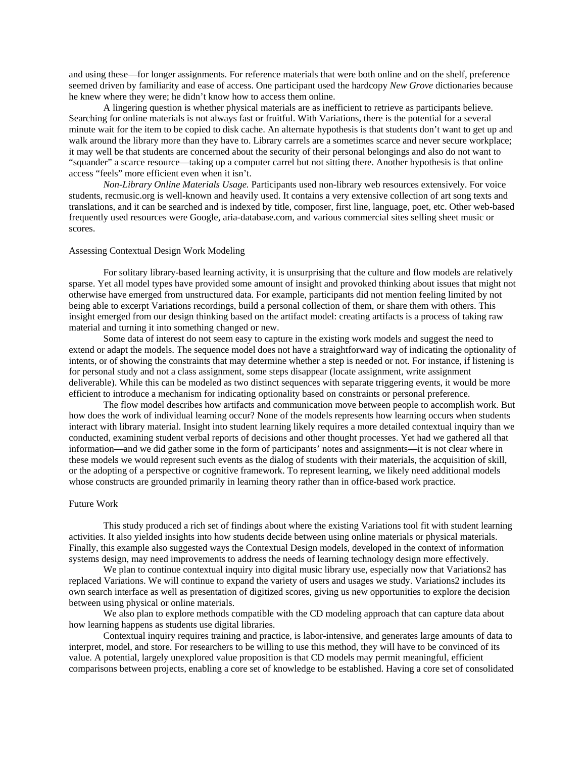and using these—for longer assignments. For reference materials that were both online and on the shelf, preference seemed driven by familiarity and ease of access. One participant used the hardcopy *New Grove* dictionaries because he knew where they were; he didn't know how to access them online.

A lingering question is whether physical materials are as inefficient to retrieve as participants believe. Searching for online materials is not always fast or fruitful. With Variations, there is the potential for a several minute wait for the item to be copied to disk cache. An alternate hypothesis is that students don't want to get up and walk around the library more than they have to. Library carrels are a sometimes scarce and never secure workplace; it may well be that students are concerned about the security of their personal belongings and also do not want to "squander" a scarce resource—taking up a computer carrel but not sitting there. Another hypothesis is that online access "feels" more efficient even when it isn't.

*Non-Library Online Materials Usage.* Participants used non-library web resources extensively. For voice students, recmusic.org is well-known and heavily used. It contains a very extensive collection of art song texts and translations, and it can be searched and is indexed by title, composer, first line, language, poet, etc. Other web-based frequently used resources were Google, aria-database.com, and various commercial sites selling sheet music or scores.

#### Assessing Contextual Design Work Modeling

For solitary library-based learning activity, it is unsurprising that the culture and flow models are relatively sparse. Yet all model types have provided some amount of insight and provoked thinking about issues that might not otherwise have emerged from unstructured data. For example, participants did not mention feeling limited by not being able to excerpt Variations recordings, build a personal collection of them, or share them with others. This insight emerged from our design thinking based on the artifact model: creating artifacts is a process of taking raw material and turning it into something changed or new.

Some data of interest do not seem easy to capture in the existing work models and suggest the need to extend or adapt the models. The sequence model does not have a straightforward way of indicating the optionality of intents, or of showing the constraints that may determine whether a step is needed or not. For instance, if listening is for personal study and not a class assignment, some steps disappear (locate assignment, write assignment deliverable). While this can be modeled as two distinct sequences with separate triggering events, it would be more efficient to introduce a mechanism for indicating optionality based on constraints or personal preference.

The flow model describes how artifacts and communication move between people to accomplish work. But how does the work of individual learning occur? None of the models represents how learning occurs when students interact with library material. Insight into student learning likely requires a more detailed contextual inquiry than we conducted, examining student verbal reports of decisions and other thought processes. Yet had we gathered all that information—and we did gather some in the form of participants' notes and assignments—it is not clear where in these models we would represent such events as the dialog of students with their materials, the acquisition of skill, or the adopting of a perspective or cognitive framework. To represent learning, we likely need additional models whose constructs are grounded primarily in learning theory rather than in office-based work practice.

#### Future Work

This study produced a rich set of findings about where the existing Variations tool fit with student learning activities. It also yielded insights into how students decide between using online materials or physical materials. Finally, this example also suggested ways the Contextual Design models, developed in the context of information systems design, may need improvements to address the needs of learning technology design more effectively.

We plan to continue contextual inquiry into digital music library use, especially now that Variations2 has replaced Variations. We will continue to expand the variety of users and usages we study. Variations2 includes its own search interface as well as presentation of digitized scores, giving us new opportunities to explore the decision between using physical or online materials.

We also plan to explore methods compatible with the CD modeling approach that can capture data about how learning happens as students use digital libraries.

Contextual inquiry requires training and practice, is labor-intensive, and generates large amounts of data to interpret, model, and store. For researchers to be willing to use this method, they will have to be convinced of its value. A potential, largely unexplored value proposition is that CD models may permit meaningful, efficient comparisons between projects, enabling a core set of knowledge to be established. Having a core set of consolidated